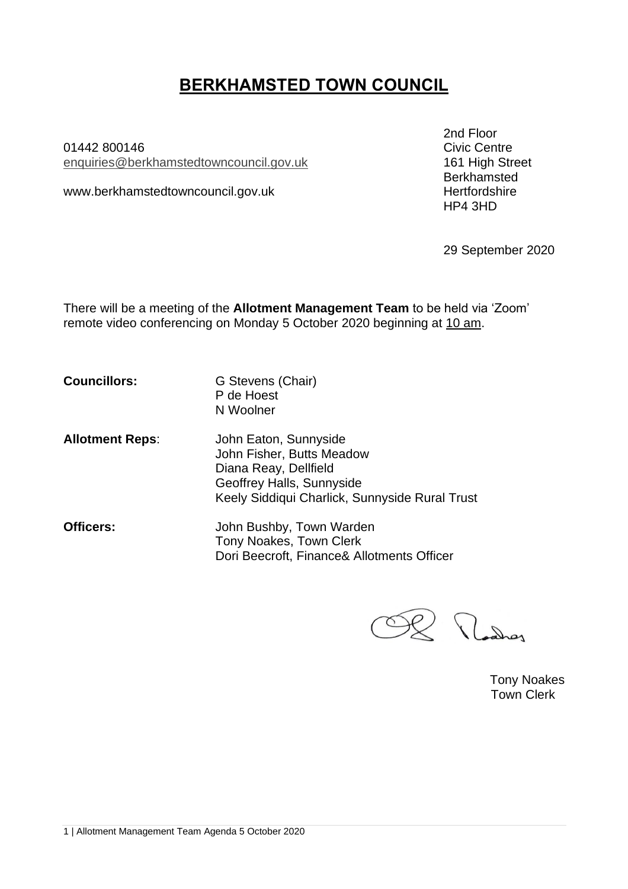# **BERKHAMSTED TOWN COUNCIL**

01442 800146 enquiries[@berkhamstedtowncouncil.gov.uk](mailto:berkhamsted.towncouncil@dacorum.gov.uk) 161 High Street

www.berkhamstedtowncouncil.gov.uk hertfordshire

2nd Floor<br>Civic Centre Berkhamsted HP4 3HD

29 September 2020

There will be a meeting of the **Allotment Management Team** to be held via 'Zoom' remote video conferencing on Monday 5 October 2020 beginning at 10 am.

**Councillors:** G Stevens (Chair) P de Hoest N Woolner

- **Allotment Reps**: John Eaton, Sunnyside John Fisher, Butts Meadow Diana Reay, Dellfield Geoffrey Halls, Sunnyside Keely Siddiqui Charlick, Sunnyside Rural Trust
- **Officers:** John Bushby, Town Warden Tony Noakes, Town Clerk Dori Beecroft, Finance& Allotments Officer

R Madrey

Tony Noakes Town Clerk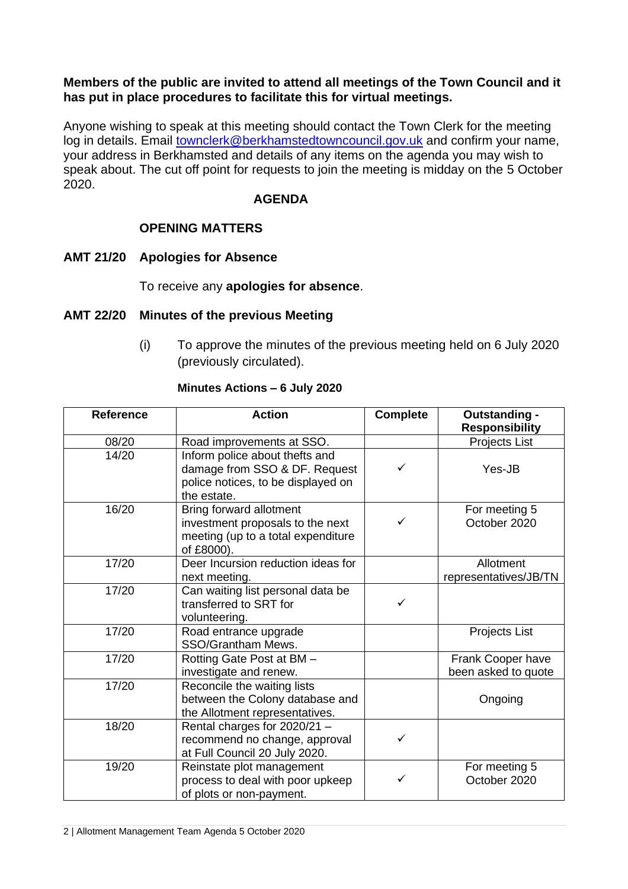## **Members of the public are invited to attend all meetings of the Town Council and it has put in place procedures to facilitate this for virtual meetings.**

Anyone wishing to speak at this meeting should contact the Town Clerk for the meeting log in details. Email [townclerk@berkhamstedtowncouncil.gov.uk](mailto:townclerk@berkhamstedtowncouncil.gov.uk) and confirm your name, your address in Berkhamsted and details of any items on the agenda you may wish to speak about. The cut off point for requests to join the meeting is midday on the 5 October 2020.

## **AGENDA**

# **OPENING MATTERS**

# **AMT 21/20 Apologies for Absence**

# To receive any **apologies for absence**.

## **AMT 22/20 Minutes of the previous Meeting**

(i) To approve the minutes of the previous meeting held on 6 July 2020 (previously circulated).

## **Minutes Actions – 6 July 2020**

| <b>Reference</b> | <b>Action</b>                                                                                                        | <b>Complete</b> | Outstanding -<br><b>Responsibility</b>   |
|------------------|----------------------------------------------------------------------------------------------------------------------|-----------------|------------------------------------------|
| 08/20            | Road improvements at SSO.                                                                                            |                 | Projects List                            |
| 14/20            | Inform police about thefts and<br>damage from SSO & DF. Request<br>police notices, to be displayed on<br>the estate. | ✓               | Yes-JB                                   |
| 16/20            | Bring forward allotment<br>investment proposals to the next<br>meeting (up to a total expenditure<br>of £8000).      | ✓               | For meeting 5<br>October 2020            |
| 17/20            | Deer Incursion reduction ideas for<br>next meeting.                                                                  |                 | Allotment<br>representatives/JB/TN       |
| 17/20            | Can waiting list personal data be<br>transferred to SRT for<br>volunteering.                                         | ✓               |                                          |
| 17/20            | Road entrance upgrade<br>SSO/Grantham Mews.                                                                          |                 | Projects List                            |
| 17/20            | Rotting Gate Post at BM -<br>investigate and renew.                                                                  |                 | Frank Cooper have<br>been asked to quote |
| 17/20            | Reconcile the waiting lists<br>between the Colony database and<br>the Allotment representatives.                     |                 | Ongoing                                  |
| 18/20            | Rental charges for 2020/21 -<br>recommend no change, approval<br>at Full Council 20 July 2020.                       | ✓               |                                          |
| 19/20            | Reinstate plot management<br>process to deal with poor upkeep<br>of plots or non-payment.                            | ✓               | For meeting 5<br>October 2020            |